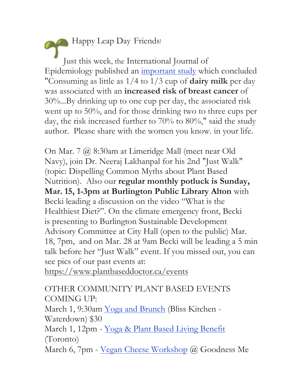Happy Leap Day Friends! Just this week, the International Journal of Epidemiology published an important study which concluded "Consuming as little as 1/4 to 1/3 cup of **dairy milk** per day was associated with an **increased risk of breast cancer** of 30%...By drinking up to one cup per day, the associated risk went up to 50%, and for those drinking two to three cups per day, the risk increased further to 70% to 80%," said the study author. Please share with the women you know. in your life.

On Mar. 7 @ 8:30am at Limeridge Mall (meet near Old Navy), join Dr. Neeraj Lakhanpal for his 2nd "Just Walk" (topic: Dispelling Common Myths about Plant Based Nutrition). Also our **regular monthly potluck is Sunday, Mar. 15, 1-3pm at Burlington Public Library Alton** with Becki leading a discussion on the video "What is the Healthiest Diet?". On the climate emergency front, Becki is presenting to Burlington Sustainable Development Advisory Committee at City Hall (open to the public) Mar. 18, 7pm, and on Mar. 28 at 9am Becki will be leading a 5 min talk before her "Just Walk" event. If you missed out, you can see pics of our past events at:

https://www.plantbaseddoctor.ca/events

## OTHER COMMUNITY PLANT BASED EVENTS COMING UP:

March 1, 9:30am Yoga and Brunch (Bliss Kitchen - Waterdown) \$30

March 1, 12pm - Yoga & Plant Based Living Benefit (Toronto)

March 6, 7pm - Vegan Cheese Workshop @ Goodness Me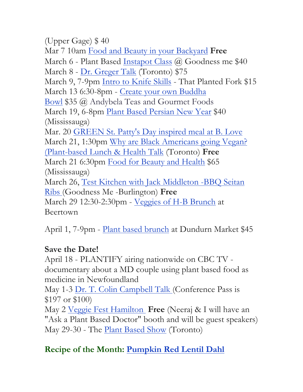(Upper Gage) \$ 40 Mar 7 10am Food and Beauty in your Backyard **Free**  March 6 - Plant Based Instapot Class @ Goodness me \$40 March 8 - Dr. Greger Talk (Toronto) \$75 March 9, 7-9pm Intro to Knife Skills - That Planted Fork \$15 March 13 6:30-8pm - Create your own Buddha Bowl \$35 @ Andybela Teas and Gourmet Foods March 19, 6-8pm Plant Based Persian New Year \$40 (Mississauga) Mar. 20 GREEN St. Patty's Day inspired meal at B. Love March 21, 1:30pm Why are Black Americans going Vegan? (Plant-based Lunch & Health Talk (Toronto) **Free** March 21 6:30pm Food for Beauty and Health \$65 (Mississauga) March 26, Test Kitchen with Jack Middleton -BBQ Seitan Ribs (Goodness Me -Burlington) **Free** March 29 12:30-2:30pm - Veggies of H-B Brunch at

Beertown

April 1, 7-9pm - Plant based brunch at Dundurn Market \$45

## **Save the Date!**

April 18 - PLANTIFY airing nationwide on CBC TV documentary about a MD couple using plant based food as medicine in Newfoundland

May 1-3 Dr. T. Colin Campbell Talk (Conference Pass is \$197 or \$100)

May 2 Veggie Fest Hamilton **Free** (Neeraj & I will have an "Ask a Plant Based Doctor" booth and will be guest speakers) May 29-30 - The Plant Based Show (Toronto)

## **Recipe of the Month: Pumpkin Red Lentil Dahl**